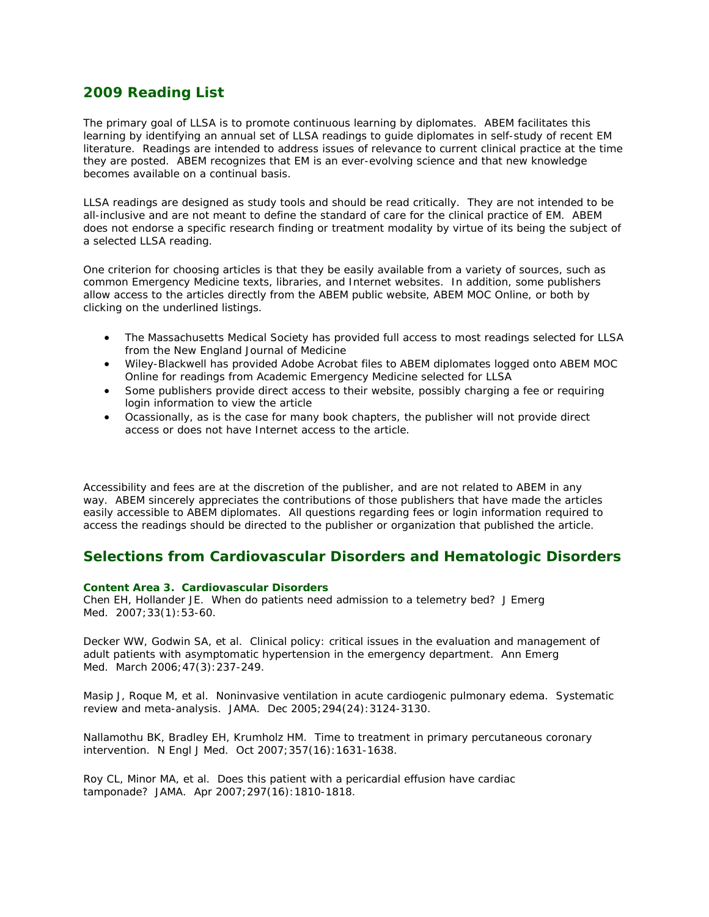# **2009 Reading List**

The primary goal of LLSA is to promote continuous learning by diplomates. ABEM facilitates this learning by identifying an annual set of LLSA readings to guide diplomates in self-study of recent EM literature. Readings are intended to address issues of relevance to current clinical practice at the time they are posted. ABEM recognizes that EM is an ever-evolving science and that new knowledge becomes available on a continual basis.

LLSA readings are designed as study tools and should be read critically. They are not intended to be all-inclusive and are not meant to define the standard of care for the clinical practice of EM. ABEM does not endorse a specific research finding or treatment modality by virtue of its being the subject of a selected LLSA reading.

One criterion for choosing articles is that they be easily available from a variety of sources, such as common Emergency Medicine texts, libraries, and Internet websites. In addition, some publishers allow access to the articles directly from the ABEM public website, ABEM MOC Online, or both by clicking on the underlined listings.

- The Massachusetts Medical Society has provided full access to most readings selected for LLSA from the *New England Journal of Medicine*
- Wiley-Blackwell has provided Adobe Acrobat files to ABEM diplomates logged onto ABEM MOC Online for readings from *Academic Emergency Medicine* selected for LLSA
- Some publishers provide direct access to their website, possibly charging a fee or requiring login information to view the article
- Ocassionally, as is the case for many book chapters, the publisher will not provide direct access or does not have Internet access to the article.

Accessibility and fees are at the discretion of the publisher, and are not related to ABEM in any way. ABEM sincerely appreciates the contributions of those publishers that have made the articles easily accessible to ABEM diplomates. All questions regarding fees or login information required to access the readings should be directed to the publisher or organization that published the article.

# **Selections from Cardiovascular Disorders and Hematologic Disorders**

## *Content Area 3. Cardiovascular Disorders*

Chen EH, Hollander JE. When do patients need admission to a telemetry bed? *J Emerg Med*. 2007;33(1):53-60.

Decker WW, Godwin SA, et al. Clinical policy: critical issues in the evaluation and management of adult patients with asymptomatic hypertension in the emergency department. *Ann Emerg Med*. March 2006;47(3):237-249.

Masip J, Roque M, et al. Noninvasive ventilation in acute cardiogenic pulmonary edema. Systematic review and meta-analysis. *JAMA*. Dec 2005;294(24):3124-3130.

Nallamothu BK, Bradley EH, Krumholz HM. Time to treatment in primary percutaneous coronary intervention. *N Engl J Med*. Oct 2007;357(16):1631-1638.

Roy CL, Minor MA, et al. Does this patient with a pericardial effusion have cardiac tamponade? *JAMA.* Apr 2007;297(16):1810-1818.